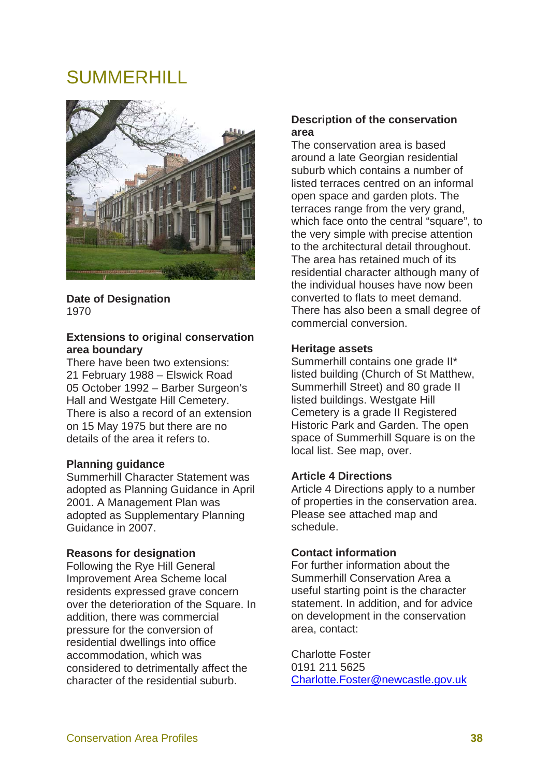# SUMMERHILL



**Date of Designation**  1970

# **Extensions to original conservation area boundary**

There have been two extensions: 21 February 1988 – Elswick Road 05 October 1992 – Barber Surgeon's Hall and Westgate Hill Cemetery. There is also a record of an extension on 15 May 1975 but there are no details of the area it refers to.

# **Planning guidance**

Summerhill Character Statement was adopted as Planning Guidance in April 2001. A Management Plan was adopted as Supplementary Planning Guidance in 2007.

# **Reasons for designation**

Following the Rye Hill General Improvement Area Scheme local residents expressed grave concern over the deterioration of the Square. In addition, there was commercial pressure for the conversion of residential dwellings into office accommodation, which was considered to detrimentally affect the character of the residential suburb.

# **Description of the conservation area**

The conservation area is based around a late Georgian residential suburb which contains a number of listed terraces centred on an informal open space and garden plots. The terraces range from the very grand, which face onto the central "square", to the very simple with precise attention to the architectural detail throughout. The area has retained much of its residential character although many of the individual houses have now been converted to flats to meet demand. There has also been a small degree of commercial conversion.

#### **Heritage assets**

Summerhill contains one grade II\* listed building (Church of St Matthew, Summerhill Street) and 80 grade II listed buildings. Westgate Hill Cemetery is a grade II Registered Historic Park and Garden. The open space of Summerhill Square is on the local list. See map, over.

# **Article 4 Directions**

Article 4 Directions apply to a number of properties in the conservation area. Please see attached map and schedule.

#### **Contact information**

For further information about the Summerhill Conservation Area a useful starting point is the character statement. In addition, and for advice on development in the conservation area, contact:

Charlotte Foster 0191 211 5625 Charlotte.Foster@newcastle.gov.uk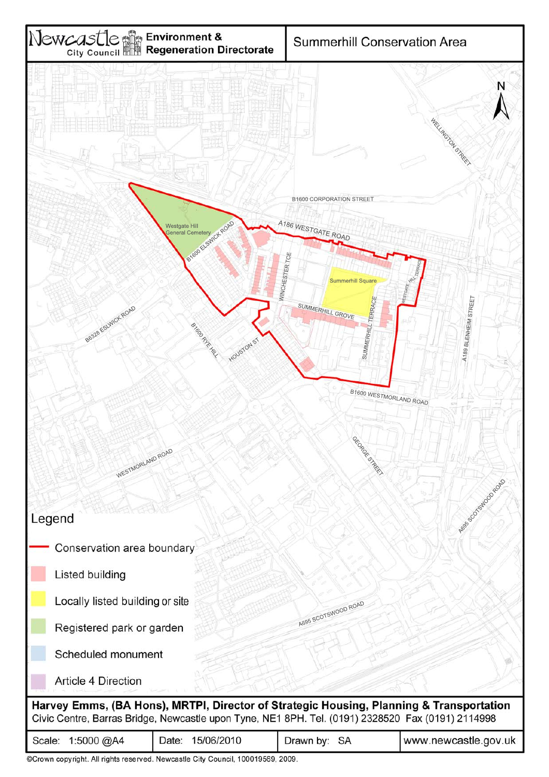

| Scale: $1:5000 \ (\omega)$ A4 | Date: 15/06/2010                                                          | Drawn by: SA | www.newcastle.gov.ul |
|-------------------------------|---------------------------------------------------------------------------|--------------|----------------------|
|                               | @Crown convicted All ights reserved Novemette City Council 100010500 2000 |              |                      |

©Crown copyright. All rights reserved. Newcastle City Council, 100019569, 2009.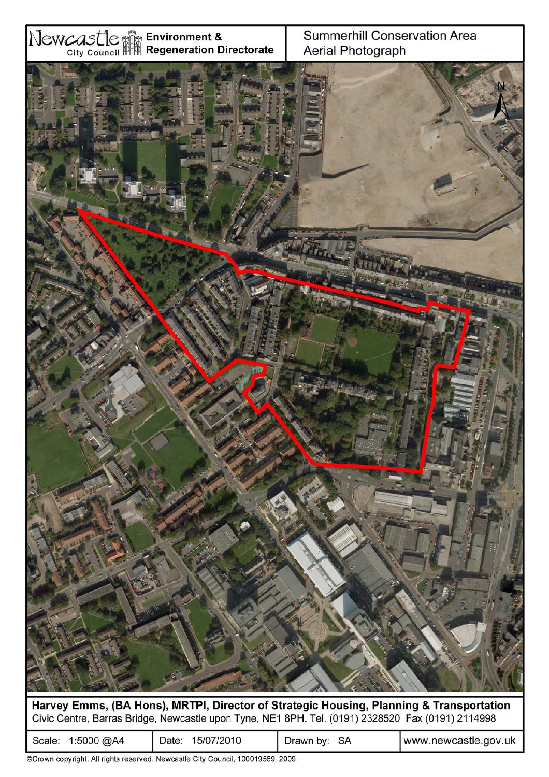

Harvey Emms, (BA Hons), MRTPI, Director of Strategic Housing, Planning & Transportation Civic Centre, Barras Bridge, Newcastle upon Tyne, NE1 8PH. Tel. (0191) 2328520 Fax (0191) 2114998

| 1:5000 @A4 | 15/07/2010 | SA        | www.newcastle.gov.uk |
|------------|------------|-----------|----------------------|
| Scale:     | ⊃ate:      | Drawn by: |                      |

©Crown copyright. All rights reserved. Newcastle City Council, 100019569, 2009.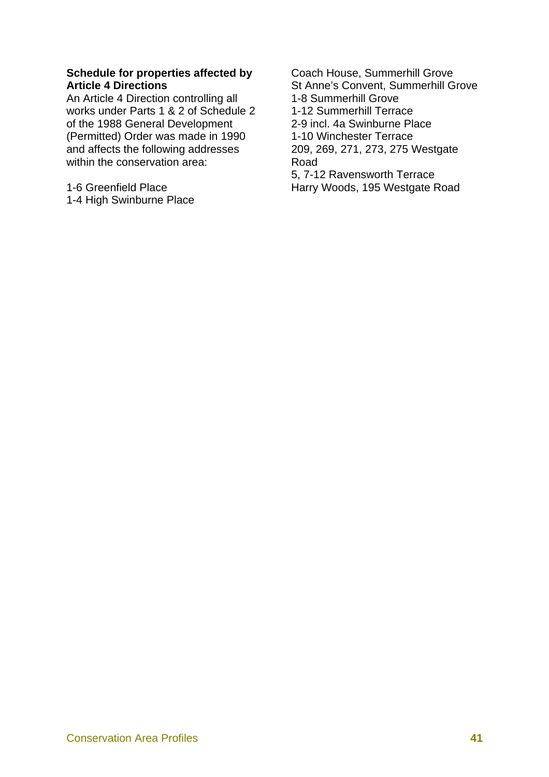# **Schedule for properties affected by Article 4 Directions**

An Article 4 Direction controlling all works under Parts 1 & 2 of Schedule 2 of the 1988 General Development (Permitted) Order was made in 1990 and affects the following addresses within the conservation area:

1-6 Greenfield Place 1-4 High Swinburne Place Coach House, Summerhill Grove St Anne's Convent, Summerhill Grove 1-8 Summerhill Grove 1-12 Summerhill Terrace 2-9 incl. 4a Swinburne Place 1-10 Winchester Terrace 209, 269, 271, 273, 275 Westgate Road

5, 7-12 Ravensworth Terrace Harry Woods, 195 Westgate Road